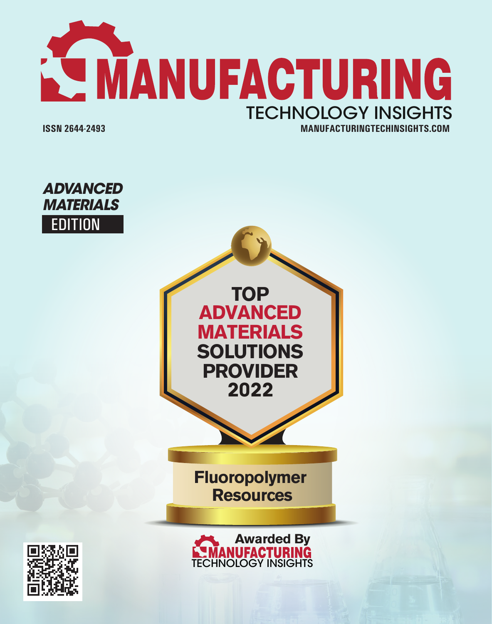